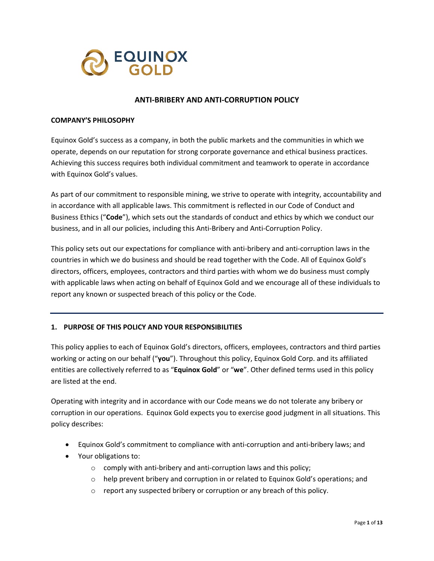

### **ANTI-BRIBERY AND ANTI-CORRUPTION POLICY**

#### **COMPANY'S PHILOSOPHY**

Equinox Gold's success as a company, in both the public markets and the communities in which we operate, depends on our reputation for strong corporate governance and ethical business practices. Achieving this success requires both individual commitment and teamwork to operate in accordance with Equinox Gold's values.

As part of our commitment to responsible mining, we strive to operate with integrity, accountability and in accordance with all applicable laws. This commitment is reflected in our Code of Conduct and Business Ethics ("**Code**"), which sets out the standards of conduct and ethics by which we conduct our business, and in all our policies, including this Anti-Bribery and Anti-Corruption Policy.

This policy sets out our expectations for compliance with anti-bribery and anti-corruption laws in the countries in which we do business and should be read together with the Code. All of Equinox Gold's directors, officers, employees, contractors and third parties with whom we do business must comply with applicable laws when acting on behalf of Equinox Gold and we encourage all of these individuals to report any known or suspected breach of this policy or the Code.

## **1. PURPOSE OF THIS POLICY AND YOUR RESPONSIBILITIES**

This policy applies to each of Equinox Gold's directors, officers, employees, contractors and third parties working or acting on our behalf ("**you**"). Throughout this policy, Equinox Gold Corp. and its affiliated entities are collectively referred to as "**Equinox Gold**" or "**we**". Other defined terms used in this policy are listed at the end.

Operating with integrity and in accordance with our Code means we do not tolerate any bribery or corruption in our operations. Equinox Gold expects you to exercise good judgment in all situations. This policy describes:

- Equinox Gold's commitment to compliance with anti-corruption and anti-bribery laws; and
- Your obligations to:
	- o comply with anti-bribery and anti-corruption laws and this policy;
	- o help prevent bribery and corruption in or related to Equinox Gold's operations; and
	- o report any suspected bribery or corruption or any breach of this policy.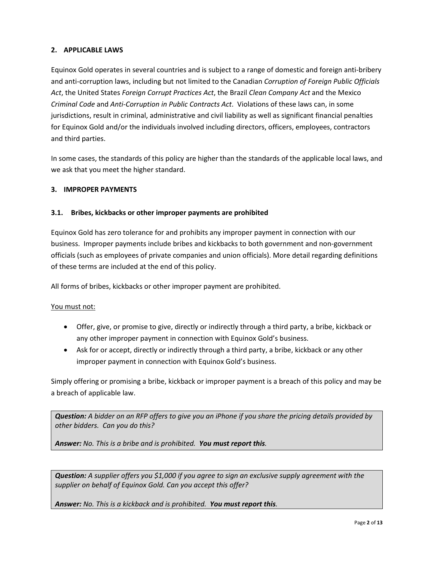# **2. APPLICABLE LAWS**

Equinox Gold operates in several countries and is subject to a range of domestic and foreign anti-bribery and anti-corruption laws, including but not limited to the Canadian *Corruption of Foreign Public Officials Act*, the United States *Foreign Corrupt Practices Act*, the Brazil *Clean Company Act* and the Mexico *Criminal Code* and *Anti-Corruption in Public Contracts Act*. Violations of these laws can, in some jurisdictions, result in criminal, administrative and civil liability as well as significant financial penalties for Equinox Gold and/or the individuals involved including directors, officers, employees, contractors and third parties.

In some cases, the standards of this policy are higher than the standards of the applicable local laws, and we ask that you meet the higher standard.

## **3. IMPROPER PAYMENTS**

# **3.1. Bribes, kickbacks or other improper payments are prohibited**

Equinox Gold has zero tolerance for and prohibits any improper payment in connection with our business. Improper payments include bribes and kickbacks to both government and non-government officials (such as employees of private companies and union officials). More detail regarding definitions of these terms are included at the end of this policy.

All forms of bribes, kickbacks or other improper payment are prohibited.

## You must not:

- Offer, give, or promise to give, directly or indirectly through a third party, a bribe, kickback or any other improper payment in connection with Equinox Gold's business.
- Ask for or accept, directly or indirectly through a third party, a bribe, kickback or any other improper payment in connection with Equinox Gold's business.

Simply offering or promising a bribe, kickback or improper payment is a breach of this policy and may be a breach of applicable law.

*Question: A bidder on an RFP offers to give you an iPhone if you share the pricing details provided by other bidders. Can you do this?* 

*Answer: No. This is a bribe and is prohibited. You must report this.*

*Question: A supplier offers you \$1,000 if you agree to sign an exclusive supply agreement with the supplier on behalf of Equinox Gold. Can you accept this offer?* 

*Answer: No. This is a kickback and is prohibited. You must report this.*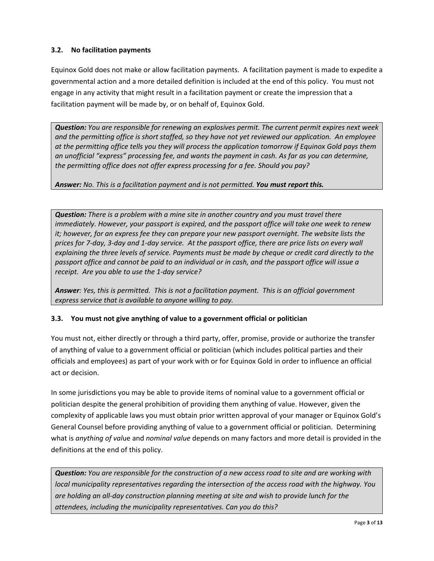# **3.2. No facilitation payments**

Equinox Gold does not make or allow facilitation payments. A facilitation payment is made to expedite a governmental action and a more detailed definition is included at the end of this policy. You must not engage in any activity that might result in a facilitation payment or create the impression that a facilitation payment will be made by, or on behalf of, Equinox Gold.

*Question: You are responsible for renewing an explosives permit. The current permit expires next week and the permitting office is short staffed, so they have not yet reviewed our application. An employee at the permitting office tells you they will process the application tomorrow if Equinox Gold pays them an unofficial "express" processing fee, and wants the payment in cash. As far as you can determine, the permitting office does not offer express processing for a fee. Should you pay?*

# *Answer: No. This is a facilitation payment and is not permitted. You must report this.*

*Question: There is a problem with a mine site in another country and you must travel there immediately. However, your passport is expired, and the passport office will take one week to renew it; however, for an express fee they can prepare your new passport overnight. The website lists the prices for 7-day, 3-day and 1-day service. At the passport office, there are price lists on every wall explaining the three levels of service. Payments must be made by cheque or credit card directly to the passport office and cannot be paid to an individual or in cash, and the passport office will issue a receipt. Are you able to use the 1-day service?*

*Answer: Yes, this is permitted. This is not a facilitation payment. This is an official government express service that is available to anyone willing to pay.*

## **3.3. You must not give anything of value to a government official or politician**

You must not, either directly or through a third party, offer, promise, provide or authorize the transfer of anything of value to a government official or politician (which includes political parties and their officials and employees) as part of your work with or for Equinox Gold in order to influence an official act or decision.

In some jurisdictions you may be able to provide items of nominal value to a government official or politician despite the general prohibition of providing them anything of value. However, given the complexity of applicable laws you must obtain prior written approval of your manager or Equinox Gold's General Counsel before providing anything of value to a government official or politician. Determining what is *anything of val*ue and *nominal value* depends on many factors and more detail is provided in the definitions at the end of this policy.

*Question: You are responsible for the construction of a new access road to site and are working with local municipality representatives regarding the intersection of the access road with the highway. You are holding an all-day construction planning meeting at site and wish to provide lunch for the attendees, including the municipality representatives. Can you do this?*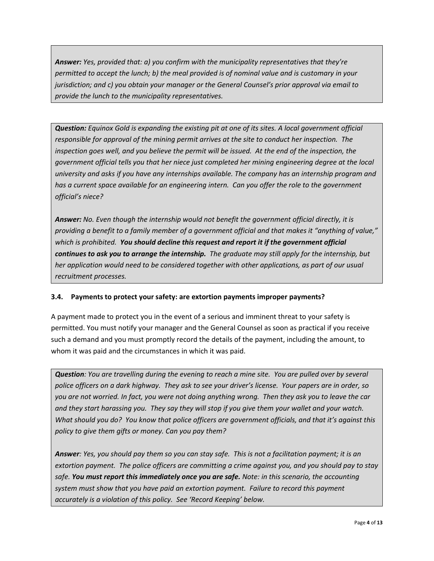*Answer: Yes, provided that: a) you confirm with the municipality representatives that they're permitted to accept the lunch; b) the meal provided is of nominal value and is customary in your jurisdiction; and c) you obtain your manager or the General Counsel's prior approval via email to provide the lunch to the municipality representatives.*

*Question: Equinox Gold is expanding the existing pit at one of its sites. A local government official responsible for approval of the mining permit arrives at the site to conduct her inspection. The*  inspection goes well, and you believe the permit will be issued. At the end of the inspection, the *government official tells you that her niece just completed her mining engineering degree at the local university and asks if you have any internships available. The company has an internship program and has a current space available for an engineering intern. Can you offer the role to the government official's niece?*

*Answer: No. Even though the internship would not benefit the government official directly, it is providing a benefit to a family member of a government official and that makes it "anything of value," which is prohibited. You should decline this request and report it if the government official continues to ask you to arrange the internship. The graduate may still apply for the internship, but her application would need to be considered together with other applications, as part of our usual recruitment processes.*

## **3.4. Payments to protect your safety: are extortion payments improper payments?**

A payment made to protect you in the event of a serious and imminent threat to your safety is permitted. You must notify your manager and the General Counsel as soon as practical if you receive such a demand and you must promptly record the details of the payment, including the amount, to whom it was paid and the circumstances in which it was paid.

*Question: You are travelling during the evening to reach a mine site. You are pulled over by several police officers on a dark highway. They ask to see your driver's license. Your papers are in order, so you are not worried. In fact, you were not doing anything wrong. Then they ask you to leave the car and they start harassing you. They say they will stop if you give them your wallet and your watch. What should you do? You know that police officers are government officials, and that it's against this policy to give them gifts or money. Can you pay them?*

*Answer: Yes, you should pay them so you can stay safe. This is not a facilitation payment; it is an extortion payment. The police officers are committing a crime against you, and you should pay to stay safe. You must report this immediately once you are safe. Note: in this scenario, the accounting system must show that you have paid an extortion payment. Failure to record this payment accurately is a violation of this policy. See 'Record Keeping' below.*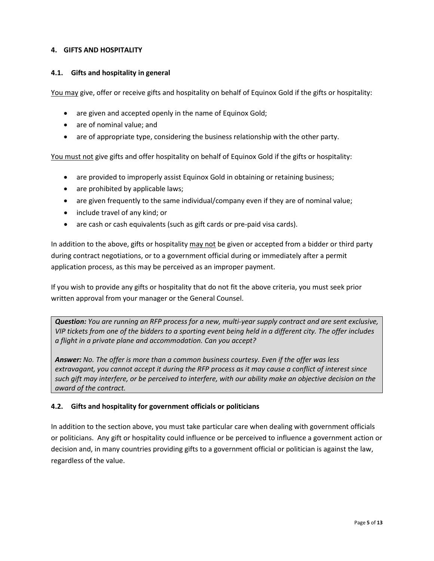## **4. GIFTS AND HOSPITALITY**

### **4.1. Gifts and hospitality in general**

You may give, offer or receive gifts and hospitality on behalf of Equinox Gold if the gifts or hospitality:

- are given and accepted openly in the name of Equinox Gold;
- are of nominal value; and
- are of appropriate type, considering the business relationship with the other party.

You must not give gifts and offer hospitality on behalf of Equinox Gold if the gifts or hospitality:

- are provided to improperly assist Equinox Gold in obtaining or retaining business;
- are prohibited by applicable laws;
- are given frequently to the same individual/company even if they are of nominal value;
- include travel of any kind; or
- are cash or cash equivalents (such as gift cards or pre-paid visa cards).

In addition to the above, gifts or hospitality may not be given or accepted from a bidder or third party during contract negotiations, or to a government official during or immediately after a permit application process, as this may be perceived as an improper payment.

If you wish to provide any gifts or hospitality that do not fit the above criteria, you must seek prior written approval from your manager or the General Counsel.

*Question: You are running an RFP process for a new, multi-year supply contract and are sent exclusive, VIP tickets from one of the bidders to a sporting event being held in a different city. The offer includes a flight in a private plane and accommodation. Can you accept?* 

*Answer: No. The offer is more than a common business courtesy. Even if the offer was less extravagant, you cannot accept it during the RFP process as it may cause a conflict of interest since such gift may interfere, or be perceived to interfere, with our ability make an objective decision on the award of the contract.*

## **4.2. Gifts and hospitality for government officials or politicians**

In addition to the section above, you must take particular care when dealing with government officials or politicians. Any gift or hospitality could influence or be perceived to influence a government action or decision and, in many countries providing gifts to a government official or politician is against the law, regardless of the value.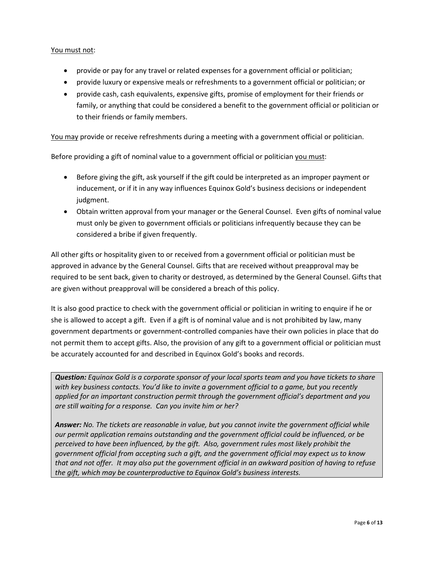## You must not:

- provide or pay for any travel or related expenses for a government official or politician;
- provide luxury or expensive meals or refreshments to a government official or politician; or
- provide cash, cash equivalents, expensive gifts, promise of employment for their friends or family, or anything that could be considered a benefit to the government official or politician or to their friends or family members.

You may provide or receive refreshments during a meeting with a government official or politician.

Before providing a gift of nominal value to a government official or politician you must:

- Before giving the gift, ask yourself if the gift could be interpreted as an improper payment or inducement, or if it in any way influences Equinox Gold's business decisions or independent judgment.
- Obtain written approval from your manager or the General Counsel. Even gifts of nominal value must only be given to government officials or politicians infrequently because they can be considered a bribe if given frequently.

All other gifts or hospitality given to or received from a government official or politician must be approved in advance by the General Counsel. Gifts that are received without preapproval may be required to be sent back, given to charity or destroyed, as determined by the General Counsel. Gifts that are given without preapproval will be considered a breach of this policy.

It is also good practice to check with the government official or politician in writing to enquire if he or she is allowed to accept a gift. Even if a gift is of nominal value and is not prohibited by law, many government departments or government-controlled companies have their own policies in place that do not permit them to accept gifts. Also, the provision of any gift to a government official or politician must be accurately accounted for and described in Equinox Gold's books and records.

*Question: Equinox Gold is a corporate sponsor of your local sports team and you have tickets to share with key business contacts. You'd like to invite a government official to a game, but you recently applied for an important construction permit through the government official's department and you are still waiting for a response. Can you invite him or her?* 

*Answer: No. The tickets are reasonable in value, but you cannot invite the government official while our permit application remains outstanding and the government official could be influenced, or be perceived to have been influenced, by the gift. Also, government rules most likely prohibit the government official from accepting such a gift, and the government official may expect us to know that and not offer. It may also put the government official in an awkward position of having to refuse the gift, which may be counterproductive to Equinox Gold's business interests.*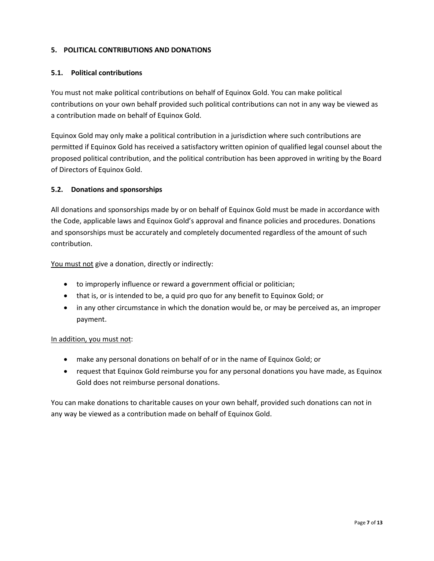# **5. POLITICAL CONTRIBUTIONS AND DONATIONS**

### **5.1. Political contributions**

You must not make political contributions on behalf of Equinox Gold. You can make political contributions on your own behalf provided such political contributions can not in any way be viewed as a contribution made on behalf of Equinox Gold.

Equinox Gold may only make a political contribution in a jurisdiction where such contributions are permitted if Equinox Gold has received a satisfactory written opinion of qualified legal counsel about the proposed political contribution, and the political contribution has been approved in writing by the Board of Directors of Equinox Gold.

### **5.2. Donations and sponsorships**

All donations and sponsorships made by or on behalf of Equinox Gold must be made in accordance with the Code, applicable laws and Equinox Gold's approval and finance policies and procedures. Donations and sponsorships must be accurately and completely documented regardless of the amount of such contribution.

You must not give a donation, directly or indirectly:

- to improperly influence or reward a government official or politician;
- that is, or is intended to be, a quid pro quo for any benefit to Equinox Gold; or
- in any other circumstance in which the donation would be, or may be perceived as, an improper payment.

#### In addition, you must not:

- make any personal donations on behalf of or in the name of Equinox Gold; or
- request that Equinox Gold reimburse you for any personal donations you have made, as Equinox Gold does not reimburse personal donations.

You can make donations to charitable causes on your own behalf, provided such donations can not in any way be viewed as a contribution made on behalf of Equinox Gold.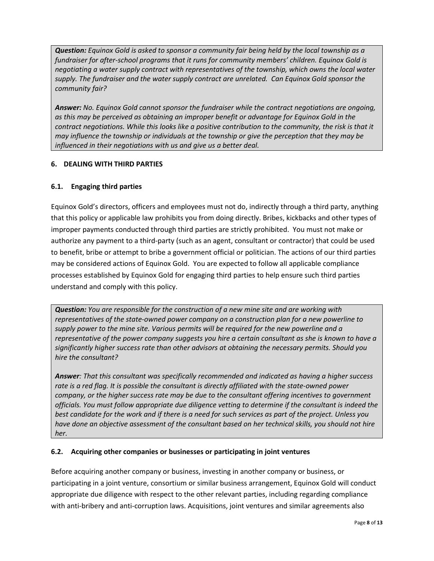*Question: Equinox Gold is asked to sponsor a community fair being held by the local township as a fundraiser for after-school programs that it runs for community members' children. Equinox Gold is negotiating a water supply contract with representatives of the township, which owns the local water supply. The fundraiser and the water supply contract are unrelated. Can Equinox Gold sponsor the community fair?* 

*Answer: No. Equinox Gold cannot sponsor the fundraiser while the contract negotiations are ongoing, as this may be perceived as obtaining an improper benefit or advantage for Equinox Gold in the contract negotiations. While this looks like a positive contribution to the community, the risk is that it may influence the township or individuals at the township or give the perception that they may be influenced in their negotiations with us and give us a better deal.*

# **6. DEALING WITH THIRD PARTIES**

# **6.1. Engaging third parties**

Equinox Gold's directors, officers and employees must not do, indirectly through a third party, anything that this policy or applicable law prohibits you from doing directly. Bribes, kickbacks and other types of improper payments conducted through third parties are strictly prohibited. You must not make or authorize any payment to a third-party (such as an agent, consultant or contractor) that could be used to benefit, bribe or attempt to bribe a government official or politician. The actions of our third parties may be considered actions of Equinox Gold. You are expected to follow all applicable compliance processes established by Equinox Gold for engaging third parties to help ensure such third parties understand and comply with this policy.

*Question: You are responsible for the construction of a new mine site and are working with representatives of the state-owned power company on a construction plan for a new powerline to supply power to the mine site. Various permits will be required for the new powerline and a representative of the power company suggests you hire a certain consultant as she is known to have a significantly higher success rate than other advisors at obtaining the necessary permits. Should you hire the consultant?* 

*Answer: That this consultant was specifically recommended and indicated as having a higher success*  rate is a red flag. It is possible the consultant is directly affiliated with the state-owned power *company, or the higher success rate may be due to the consultant offering incentives to government officials. You must follow appropriate due diligence vetting to determine if the consultant is indeed the best candidate for the work and if there is a need for such services as part of the project. Unless you have done an objective assessment of the consultant based on her technical skills, you should not hire her.*

## **6.2. Acquiring other companies or businesses or participating in joint ventures**

Before acquiring another company or business, investing in another company or business, or participating in a joint venture, consortium or similar business arrangement, Equinox Gold will conduct appropriate due diligence with respect to the other relevant parties, including regarding compliance with anti-bribery and anti-corruption laws. Acquisitions, joint ventures and similar agreements also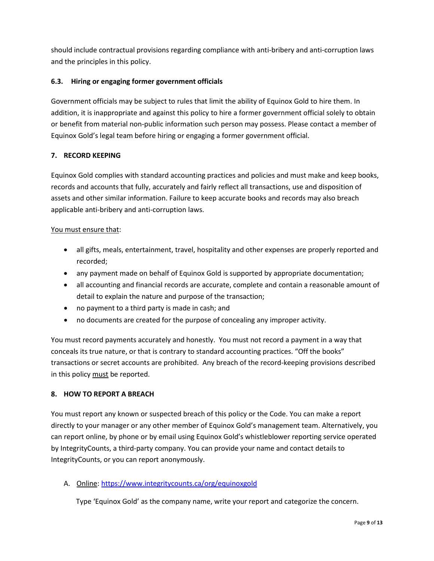should include contractual provisions regarding compliance with anti-bribery and anti-corruption laws and the principles in this policy.

# **6.3. Hiring or engaging former government officials**

Government officials may be subject to rules that limit the ability of Equinox Gold to hire them. In addition, it is inappropriate and against this policy to hire a former government official solely to obtain or benefit from material non-public information such person may possess. Please contact a member of Equinox Gold's legal team before hiring or engaging a former government official.

## **7. RECORD KEEPING**

Equinox Gold complies with standard accounting practices and policies and must make and keep books, records and accounts that fully, accurately and fairly reflect all transactions, use and disposition of assets and other similar information. Failure to keep accurate books and records may also breach applicable anti-bribery and anti-corruption laws.

## You must ensure that:

- all gifts, meals, entertainment, travel, hospitality and other expenses are properly reported and recorded;
- any payment made on behalf of Equinox Gold is supported by appropriate documentation;
- all accounting and financial records are accurate, complete and contain a reasonable amount of detail to explain the nature and purpose of the transaction;
- no payment to a third party is made in cash; and
- no documents are created for the purpose of concealing any improper activity.

You must record payments accurately and honestly. You must not record a payment in a way that conceals its true nature, or that is contrary to standard accounting practices. "Off the books" transactions or secret accounts are prohibited. Any breach of the record-keeping provisions described in this policy must be reported.

## **8. HOW TO REPORT A BREACH**

You must report any known or suspected breach of this policy or the Code. You can make a report directly to your manager or any other member of Equinox Gold's management team. Alternatively, you can report online, by phone or by email using Equinox Gold's whistleblower reporting service operated by IntegrityCounts, a third-party company. You can provide your name and contact details to IntegrityCounts, or you can report anonymously.

A. Online: <https://www.integritycounts.ca/org/equinoxgold>

Type 'Equinox Gold' as the company name, write your report and categorize the concern.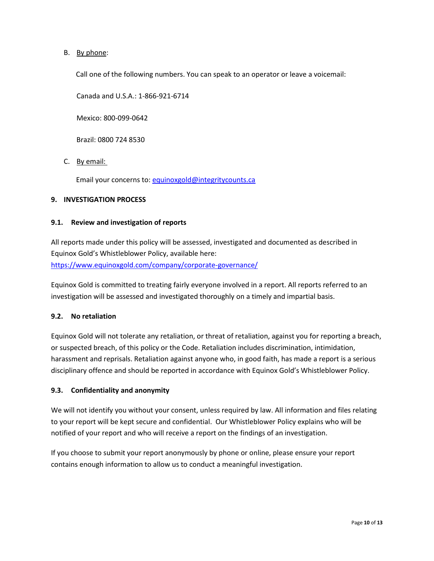# B. By phone:

Call one of the following numbers. You can speak to an operator or leave a voicemail:

Canada and U.S.A.: 1-866-921-6714

Mexico: 800-099-0642

Brazil: 0800 724 8530

C. By email:

Email your concerns to: [equinoxgold@integritycounts.ca](mailto:equinoxgold@integritycounts.ca)

### **9. INVESTIGATION PROCESS**

### **9.1. Review and investigation of reports**

All reports made under this policy will be assessed, investigated and documented as described in Equinox Gold's Whistleblower Policy, available here: <https://www.equinoxgold.com/company/corporate-governance/>

Equinox Gold is committed to treating fairly everyone involved in a report. All reports referred to an investigation will be assessed and investigated thoroughly on a timely and impartial basis.

## **9.2. No retaliation**

Equinox Gold will not tolerate any retaliation, or threat of retaliation, against you for reporting a breach, or suspected breach, of this policy or the Code. Retaliation includes discrimination, intimidation, harassment and reprisals. Retaliation against anyone who, in good faith, has made a report is a serious disciplinary offence and should be reported in accordance with Equinox Gold's Whistleblower Policy.

#### **9.3. Confidentiality and anonymity**

We will not identify you without your consent, unless required by law. All information and files relating to your report will be kept secure and confidential. Our Whistleblower Policy explains who will be notified of your report and who will receive a report on the findings of an investigation.

If you choose to submit your report anonymously by phone or online, please ensure your report contains enough information to allow us to conduct a meaningful investigation.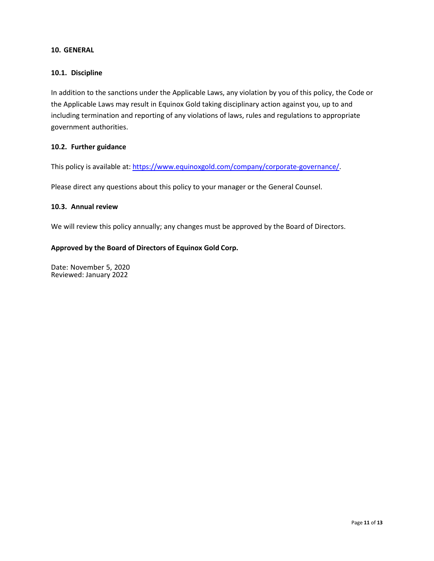#### **10. GENERAL**

#### **10.1. Discipline**

In addition to the sanctions under the Applicable Laws, any violation by you of this policy, the Code or the Applicable Laws may result in Equinox Gold taking disciplinary action against you, up to and including termination and reporting of any violations of laws, rules and regulations to appropriate government authorities.

#### **10.2. Further guidance**

This policy is available at: [https://www.equinoxgold.com/company/corporate-governance/.](https://www.equinoxgold.com/company/corporate-governance/)

Please direct any questions about this policy to your manager or the General Counsel.

#### **10.3. Annual review**

We will review this policy annually; any changes must be approved by the Board of Directors.

### **Approved by the Board of Directors of Equinox Gold Corp.**

Date: November 5, 2020 Reviewed: January 2022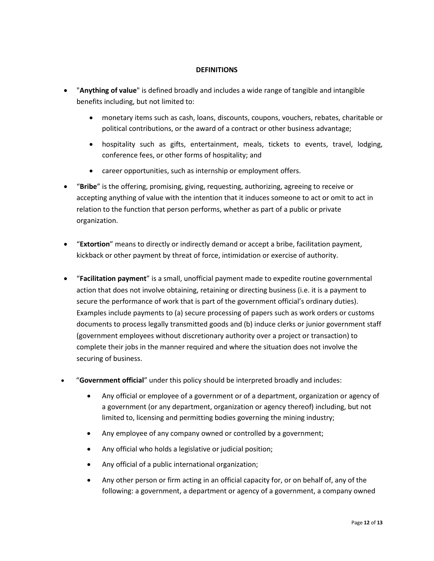### **DEFINITIONS**

- "**Anything of value**" is defined broadly and includes a wide range of tangible and intangible benefits including, but not limited to:
	- monetary items such as cash, loans, discounts, coupons, vouchers, rebates, charitable or political contributions, or the award of a contract or other business advantage;
	- hospitality such as gifts, entertainment, meals, tickets to events, travel, lodging, conference fees, or other forms of hospitality; and
	- career opportunities, such as internship or employment offers.
- "**Bribe**" is the offering, promising, giving, requesting, authorizing, agreeing to receive or accepting anything of value with the intention that it induces someone to act or omit to act in relation to the function that person performs, whether as part of a public or private organization.
- "**Extortion**" means to directly or indirectly demand or accept a bribe, facilitation payment, kickback or other payment by threat of force, intimidation or exercise of authority.
- "**Facilitation payment**" is a small, unofficial payment made to expedite routine governmental action that does not involve obtaining, retaining or directing business (i.e. it is a payment to secure the performance of work that is part of the government official's ordinary duties). Examples include payments to (a) secure processing of papers such as work orders or customs documents to process legally transmitted goods and (b) induce clerks or junior government staff (government employees without discretionary authority over a project or transaction) to complete their jobs in the manner required and where the situation does not involve the securing of business.
- "**Government official**" under this policy should be interpreted broadly and includes:
	- Any official or employee of a government or of a department, organization or agency of a government (or any department, organization or agency thereof) including, but not limited to, licensing and permitting bodies governing the mining industry;
	- Any employee of any company owned or controlled by a government;
	- Any official who holds a legislative or judicial position;
	- Any official of a public international organization;
	- Any other person or firm acting in an official capacity for, or on behalf of, any of the following: a government, a department or agency of a government, a company owned